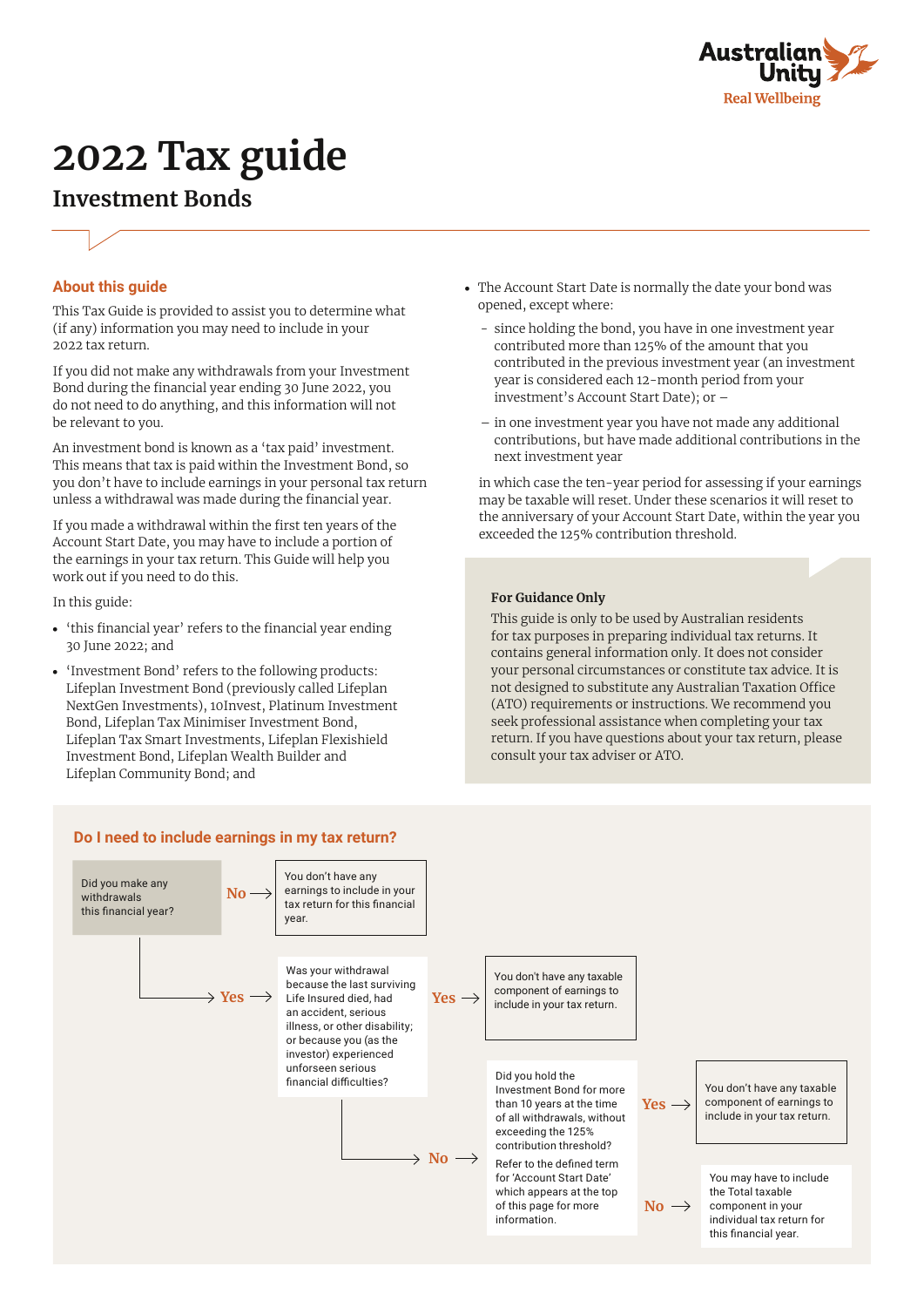

# **2022 Tax guide**

# **Investment Bonds**



## **About this guide**

This Tax Guide is provided to assist you to determine what (if any) information you may need to include in your 2022 tax return.

If you did not make any withdrawals from your Investment Bond during the financial year ending 30 June 2022, you do not need to do anything, and this information will not be relevant to you.

An investment bond is known as a 'tax paid' investment. This means that tax is paid within the Investment Bond, so you don't have to include earnings in your personal tax return unless a withdrawal was made during the financial year.

If you made a withdrawal within the first ten years of the Account Start Date, you may have to include a portion of the earnings in your tax return. This Guide will help you work out if you need to do this.

In this guide:

- **•** 'this financial year' refers to the financial year ending 30 June 2022; and
- **•** 'Investment Bond' refers to the following products: Lifeplan Investment Bond (previously called Lifeplan NextGen Investments), 10Invest, Platinum Investment Bond, Lifeplan Tax Minimiser Investment Bond, Lifeplan Tax Smart Investments, Lifeplan Flexishield Investment Bond, Lifeplan Wealth Builder and Lifeplan Community Bond; and
- **•** The Account Start Date is normally the date your bond was opened, except where:
	- since holding the bond, you have in one investment year contributed more than 125% of the amount that you contributed in the previous investment year (an investment year is considered each 12-month period from your investment's Account Start Date); or –
	- in one investment year you have not made any additional contributions, but have made additional contributions in the next investment year

in which case the ten-year period for assessing if your earnings may be taxable will reset. Under these scenarios it will reset to the anniversary of your Account Start Date, within the year you exceeded the 125% contribution threshold.

#### **For Guidance Only**

This guide is only to be used by Australian residents for tax purposes in preparing individual tax returns. It contains general information only. It does not consider your personal circumstances or constitute tax advice. It is not designed to substitute any Australian Taxation Office (ATO) requirements or instructions. We recommend you seek professional assistance when completing your tax return. If you have questions about your tax return, please consult your tax adviser or ATO.